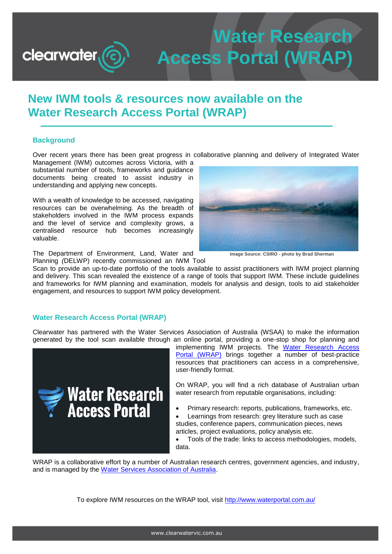# **Water Research Access Portal (WRAP)**

# **New IWM tools & resources now available on the Water Research Access Portal (WRAP)**

## **Background**

**clearwater** 

Over recent years there has been great progress in collaborative planning and delivery of Integrated Water Management (IWM) outcomes across Victoria, with a

substantial number of tools, frameworks and guidance documents being created to assist industry in understanding and applying new concepts.

With a wealth of knowledge to be accessed, navigating resources can be overwhelming. As the breadth of stakeholders involved in the IWM process expands and the level of service and complexity grows, a centralised resource hub becomes increasingly valuable.



**Image Source: CSIRO - photo by Brad Sherman**

The Department of Environment, Land, Water and Planning *(*DELWP) recently commissioned an IWM Tool

Scan to provide an up-to-date portfolio of the tools available to assist practitioners with IWM project planning and delivery. This scan revealed the existence of a range of tools that support IWM. These include guidelines and frameworks for IWM planning and examination, models for analysis and design, tools to aid stakeholder engagement, and resources to support IWM policy development.

#### **Water Research Access Portal (WRAP)**

Clearwater has partnered with the Water Services Association of Australia (WSAA) to make the information generated by the tool scan available through an online portal, providing a one-stop shop for planning and



implementing IWM projects. The Water Research Access [Portal \(WRAP\)](http://www.waterportal.com.au/) brings together a number of best-practice resources that practitioners can access in a comprehensive, user-friendly format.

On WRAP, you will find a rich database of Australian urban water research from reputable organisations, including:

- Primary research: reports, publications, frameworks, etc.
- Learnings from research: grey literature such as case studies, conference papers, communication pieces, news articles, project evaluations, policy analysis etc.

 Tools of the trade: links to access methodologies, models, data.

WRAP is a collaborative effort by a number of Australian research centres, government agencies, and industry, and is managed by the [Water Services Association of Australia.](https://www.wsaa.asn.au/)

To explore IWM resources on the WRAP tool, visit [http://www.waterportal.com.au/](https://www.waterportal.com.au/water-smart-cities?q=%22Integrated+Water+Management%22#"integrated-water-management)